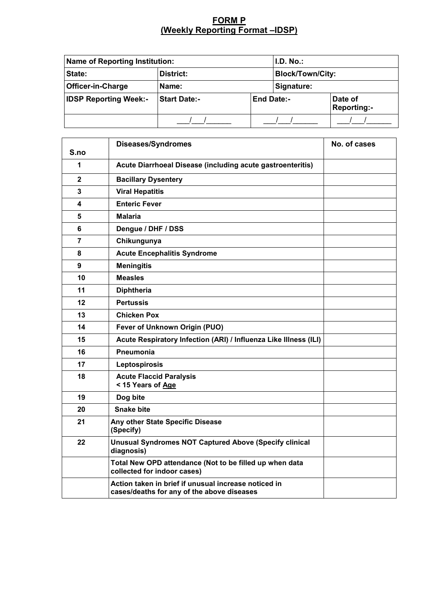## **FORM P (Weekly Reporting Format –IDSP)**

| <b>Name of Reporting Institution:</b> |                     |                   | I.D. No.                |                        |  |
|---------------------------------------|---------------------|-------------------|-------------------------|------------------------|--|
| State:                                | District:           |                   | <b>Block/Town/City:</b> |                        |  |
| <b>Officer-in-Charge</b>              | Name:               |                   | Signature:              |                        |  |
| <b>IDSP Reporting Week:-</b>          | <b>Start Date:-</b> | <b>End Date:-</b> |                         | Date of<br>Reporting:- |  |
|                                       |                     |                   |                         |                        |  |

| S.no         | <b>Diseases/Syndromes</b>                                                                          | No. of cases |
|--------------|----------------------------------------------------------------------------------------------------|--------------|
| 1            | Acute Diarrhoeal Disease (including acute gastroenteritis)                                         |              |
| $\mathbf{2}$ | <b>Bacillary Dysentery</b>                                                                         |              |
| 3            | <b>Viral Hepatitis</b>                                                                             |              |
| 4            | <b>Enteric Fever</b>                                                                               |              |
| 5            | <b>Malaria</b>                                                                                     |              |
| 6            | Dengue / DHF / DSS                                                                                 |              |
| 7            | Chikungunya                                                                                        |              |
| 8            | <b>Acute Encephalitis Syndrome</b>                                                                 |              |
| 9            | <b>Meningitis</b>                                                                                  |              |
| 10           | <b>Measles</b>                                                                                     |              |
| 11           | <b>Diphtheria</b>                                                                                  |              |
| 12           | <b>Pertussis</b>                                                                                   |              |
| 13           | <b>Chicken Pox</b>                                                                                 |              |
| 14           | Fever of Unknown Origin (PUO)                                                                      |              |
| 15           | Acute Respiratory Infection (ARI) / Influenza Like Illness (ILI)                                   |              |
| 16           | Pneumonia                                                                                          |              |
| 17           | Leptospirosis                                                                                      |              |
| 18           | <b>Acute Flaccid Paralysis</b><br>< 15 Years of Age                                                |              |
| 19           | Dog bite                                                                                           |              |
| 20           | <b>Snake bite</b>                                                                                  |              |
| 21           | Any other State Specific Disease<br>(Specify)                                                      |              |
| 22           | <b>Unusual Syndromes NOT Captured Above (Specify clinical</b><br>diagnosis)                        |              |
|              | Total New OPD attendance (Not to be filled up when data<br>collected for indoor cases)             |              |
|              | Action taken in brief if unusual increase noticed in<br>cases/deaths for any of the above diseases |              |